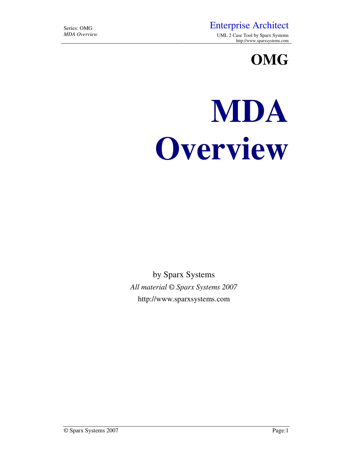## Series: OMG<br>
MDA Overview<br>
MDA Overview<br>
UML 2 Case Tool by Sparx Systems

*MDA Overview* UML 2 Case Tool by Sparx Systems http://www.sparxsystems.com

**OMG** 

# **MDA Overview**

by Sparx Systems *All material © Sparx Systems 2007*  http://www.sparxsystems.com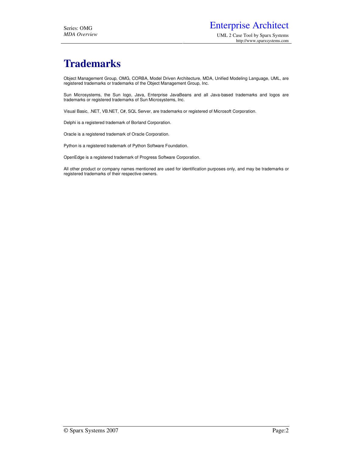## **Trademarks**

Object Management Group, OMG, CORBA, Model Driven Architecture, MDA, Unified Modeling Language, UML, are registered trademarks or trademarks of the Object Management Group, Inc.

Sun Microsystems, the Sun logo, Java, Enterprise JavaBeans and all Java-based trademarks and logos are trademarks or registered trademarks of Sun Microsystems, Inc.

Visual Basic, .NET, VB.NET, C#, SQL Server, are trademarks or registered of Microsoft Corporation.

Delphi is a registered trademark of Borland Corporation.

Oracle is a registered trademark of Oracle Corporation.

Python is a registered trademark of Python Software Foundation.

OpenEdge is a registered trademark of Progress Software Corporation.

All other product or company names mentioned are used for identification purposes only, and may be trademarks or registered trademarks of their respective owners.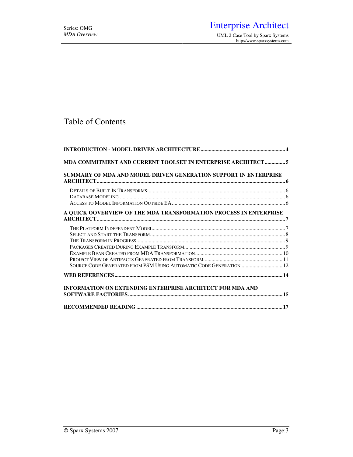http://www.sparxsystems.com

#### Table of Contents

| MDA COMMITMENT AND CURRENT TOOLSET IN ENTERPRISE ARCHITECT5        |  |
|--------------------------------------------------------------------|--|
| SUMMARY OF MDA AND MODEL DRIVEN GENERATION SUPPORT IN ENTERPRISE   |  |
|                                                                    |  |
|                                                                    |  |
|                                                                    |  |
| A QUICK OOVERVIEW OF THE MDA TRANSFORMATION PROCESS IN ENTERPRISE  |  |
|                                                                    |  |
|                                                                    |  |
|                                                                    |  |
|                                                                    |  |
|                                                                    |  |
| SOURCE CODE GENERATED FROM PSM USING AUTOMATIC CODE GENERATION  12 |  |
|                                                                    |  |
| <b>INFORMATION ON EXTENDING ENTERPRISE ARCHITECT FOR MDA AND</b>   |  |
|                                                                    |  |
|                                                                    |  |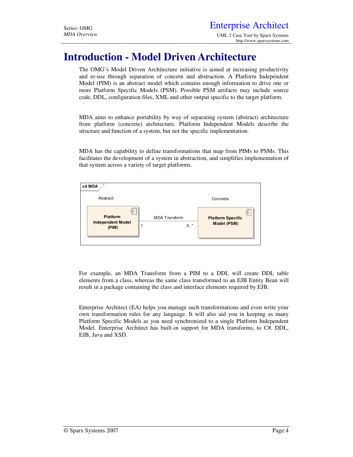## **Introduction - Model Driven Architecture**

The OMG's Model Driven Architecture initiative is aimed at increasing productivity and re-use through separation of concern and abstraction. A Platform Independent Model (PIM) is an abstract model which contains enough information to drive one or more Platform Specific Models (PSM). Possible PSM artifacts may include source code, DDL, configuration files, XML and other output specific to the target platform.

MDA aims to enhance portability by way of separating system (abstract) architecture from platform (concrete) architecture. Platform Independent Models describe the structure and function of a system, but not the specific implementation.

MDA has the capability to define transformations that map from PIMs to PSMs. This facilitates the development of a system in abstraction, and simplifies implementation of that system across a variety of target platforms.



For example, an MDA Transform from a PIM to a DDL will create DDL table elements from a class, whereas the same class transformed to an EJB Entity Bean will result in a package containing the class and interface elements required by EJB.

Enterprise Architect (EA) helps you manage such transformations and even write your own transformation rules for any language. It will also aid you in keeping as many Platform Specific Models as you need synchronized to a single Platform Independent Model. Enterprise Architect has built-in support for MDA transforms, to C#, DDL, EJB, Java and XSD.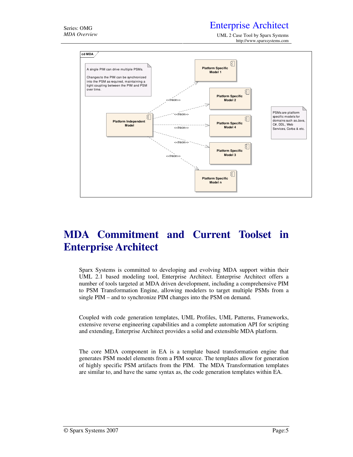### Series: OMG **Enterprise Architect**

*MDA Overview* UML 2 Case Tool by Sparx Systems http://www.sparxsystems.com



## **MDA Commitment and Current Toolset in Enterprise Architect**

Sparx Systems is committed to developing and evolving MDA support within their UML 2.1 based modeling tool, Enterprise Architect. Enterprise Architect offers a number of tools targeted at MDA driven development, including a comprehensive PIM to PSM Transformation Engine, allowing modelers to target multiple PSMs from a single PIM – and to synchronize PIM changes into the PSM on demand.

Coupled with code generation templates, UML Profiles, UML Patterns, Frameworks, extensive reverse engineering capabilities and a complete automation API for scripting and extending, Enterprise Architect provides a solid and extensible MDA platform.

The core MDA component in EA is a template based transformation engine that generates PSM model elements from a PIM source. The templates allow for generation of highly specific PSM artifacts from the PIM. The MDA Transformation templates are similar to, and have the same syntax as, the code generation templates within EA.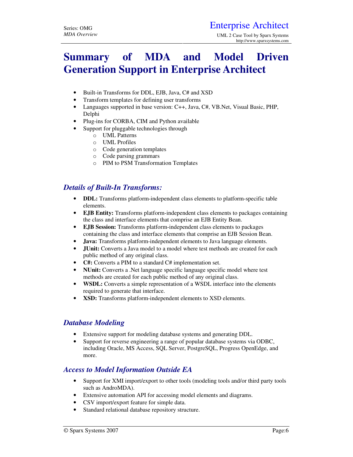## **Summary of MDA and Model Driven Generation Support in Enterprise Architect**

- Built-in Transforms for DDL, EJB, Java, C# and XSD
- Transform templates for defining user transforms
- Languages supported in base version: C++, Java, C#, VB.Net, Visual Basic, PHP, Delphi
- Plug-ins for CORBA, CIM and Python available
- Support for pluggable technologies through
	- o UML Patterns
	- o UML Profiles
	- o Code generation templates
	- o Code parsing grammars
	- o PIM to PSM Transformation Templates

#### *Details of Built-In Transforms:*

- **DDL:** Transforms platform-independent class elements to platform-specific table elements.
- **EJB Entity:** Transforms platform-independent class elements to packages containing the class and interface elements that comprise an EJB Entity Bean.
- **EJB Session:** Transforms platform-independent class elements to packages containing the class and interface elements that comprise an EJB Session Bean.
- **Java:** Transforms platform-independent elements to Java language elements.
- **JUnit:** Converts a Java model to a model where test methods are created for each public method of any original class.
- **C#:** Converts a PIM to a standard C# implementation set.
- **NUnit:** Converts a .Net language specific language specific model where test methods are created for each public method of any original class.
- **WSDL:** Converts a simple representation of a WSDL interface into the elements required to generate that interface.
- **XSD:** Transforms platform-independent elements to XSD elements.

#### *Database Modeling*

- Extensive support for modeling database systems and generating DDL.
- Support for reverse engineering a range of popular database systems via ODBC, including Oracle, MS Access, SQL Server, PostgreSQL, Progress OpenEdge, and more.

#### *Access to Model Information Outside EA*

- Support for XMI import/export to other tools (modeling tools and/or third party tools such as AndroMDA).
- Extensive automation API for accessing model elements and diagrams.
- CSV import/export feature for simple data.
- Standard relational database repository structure.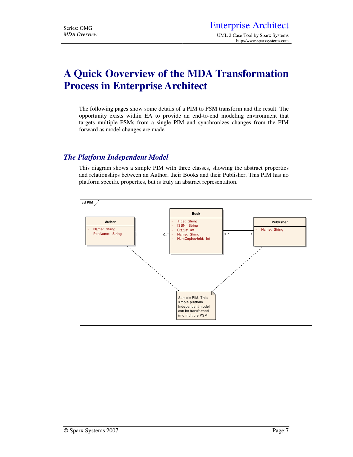## **A Quick Ooverview of the MDA Transformation Process in Enterprise Architect**

The following pages show some details of a PIM to PSM transform and the result. The opportunity exists within EA to provide an end-to-end modeling environment that targets multiple PSMs from a single PIM and synchronizes changes from the PIM forward as model changes are made.

#### *The Platform Independent Model*

This diagram shows a simple PIM with three classes, showing the abstract properties and relationships between an Author, their Books and their Publisher. This PIM has no platform specific properties, but is truly an abstract representation.

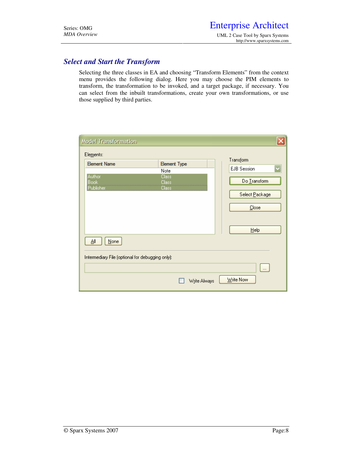#### *Select and Start the Transform*

Selecting the three classes in EA and choosing "Transform Elements" from the context menu provides the following dialog. Here you may choose the PIM elements to transform, the transformation to be invoked, and a target package, if necessary. You can select from the inbuilt transformations, create your own transformations, or use those supplied by third parties.

| <b>Model Transformation</b>                      |                       |                    |
|--------------------------------------------------|-----------------------|--------------------|
| Elements:                                        |                       |                    |
| <b>Element Name</b>                              | <b>Element Type</b>   | Transform          |
|                                                  | Note                  | <b>EJB</b> Session |
| Author<br><b>Book</b>                            | <b>Class</b><br>Class | Do Transform       |
| Publisher                                        | Class                 | Select Package     |
|                                                  |                       | Close              |
|                                                  |                       | <b>Help</b>        |
| ΔIΙ<br>None                                      |                       |                    |
| Intermediary File (optional for debugging only): |                       |                    |
|                                                  |                       | $\ldots$           |
|                                                  | Write Always          | Write Now          |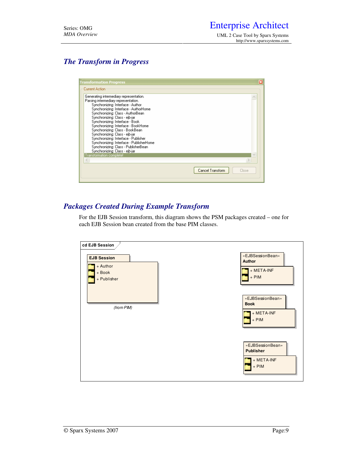#### *The Transform in Progress*

| Transformation Progress                                                                                                                                                                                                                                                                                                                                                                                                                                                                                                                           | ⊠                         |
|---------------------------------------------------------------------------------------------------------------------------------------------------------------------------------------------------------------------------------------------------------------------------------------------------------------------------------------------------------------------------------------------------------------------------------------------------------------------------------------------------------------------------------------------------|---------------------------|
| <b>Current Action</b>                                                                                                                                                                                                                                                                                                                                                                                                                                                                                                                             |                           |
| Generating intermediary representation.<br>Parsing intermediary representation.<br>Synchronizing: Interface - Author<br>Synchronizing: Interface - AuthorHome<br>Synchronizing: Class - AuthorBean<br>Synchronizing: Class - ejb-jar<br>Synchronizing: Interface - Book<br>Synchronizing: Interface - BookHome<br>Synchronizing: Class - BookBean<br>Synchronizing: Class - ejb-jar<br>Synchronizing: Interface - Publisher<br>Synchronizing: Interface - PublisherHome<br>Synchronizing: Class - PublisherBean<br>Synchronizing: Class - ejb-jar |                           |
| Transformation complete!                                                                                                                                                                                                                                                                                                                                                                                                                                                                                                                          |                           |
|                                                                                                                                                                                                                                                                                                                                                                                                                                                                                                                                                   |                           |
|                                                                                                                                                                                                                                                                                                                                                                                                                                                                                                                                                   | Cancel Transform<br>Close |

#### *Packages Created During Example Transform*

For the EJB Session transform, this diagram shows the PSM packages created – one for each EJB Session bean created from the base PIM classes.

| cd EJB Session<br><b>EJB Session</b><br>+ Author<br>+ Book<br>+ Publisher | «EJBSessionBean»<br><b>Author</b><br>+ META-INF<br>$+$ PIM    |
|---------------------------------------------------------------------------|---------------------------------------------------------------|
| (from PIM)                                                                | «EJBSessionBean»<br><b>Book</b><br>+ META-INF<br>$+$ PIM      |
|                                                                           | «EJBSessionBean»<br><b>Publisher</b><br>+ META-INF<br>$+$ PIM |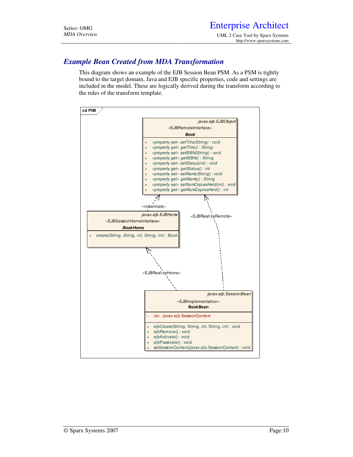#### *Example Bean Created from MDA Transformation*

This diagram shows an example of the EJB Session Bean PSM. As a PSM is tightly bound to the target domain, Java and EJB specific properties, code and settings are included in the model. These are logically derived during the transform according to the rules of the transform template.

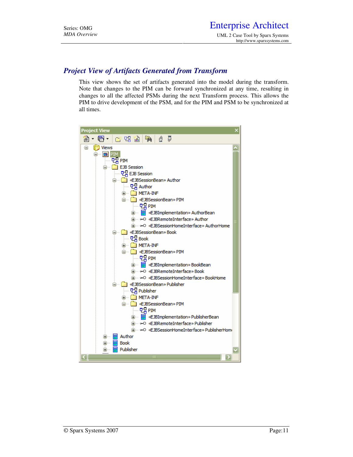#### *Project View of Artifacts Generated from Transform*

This view shows the set of artifacts generated into the model during the transform. Note that changes to the PIM can be forward synchronized at any time, resulting in changes to all the affected PSMs during the next Transform process. This allows the PIM to drive development of the PSM, and for the PIM and PSM to be synchronized at all times.

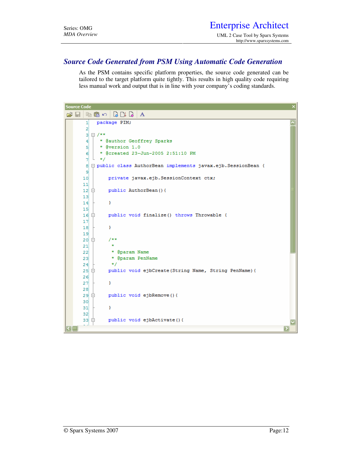#### *Source Code Generated from PSM Using Automatic Code Generation*

As the PSM contains specific platform properties, the source code generated can be tailored to the target platform quite tightly. This results in high quality code requiring less manual work and output that is in line with your company's coding standards.

```
Source Code
G - | 4 2 m - | 8 8 8 | A
             package PIM;
        \mathbf{1}\overline{2}□/**
        з
              * @author Geoffrey Sparks
        \overline{4}* @version 1.0
        5
               * @created 23-Jun-2005 2:51:10 PM
        6
              \star/
        7.
           L
        8
          □ public class AuthorBean implements javax.ejb.SessionBean {
        إو
       10<sub>1</sub>private javax.ejb.SessionContext ctx;
       1112public AuthorBean () {
           ₿
       1314\mathcal Y1516甴
                  public void finalize() throws Throwable {
       171R\mathbf{v}19白
                  7**20
       21\star* @param Name
       22* @param PenName
       23\star24₿
                  public void ejbCreate(String Name, String PenName){
       25<sub>1</sub>2627Y
       2829₿
                  public void ejbRemove(){
       30<sub>1</sub>31Y
       32<sup>1</sup>33
                  public void ejbActivate(){
          무
                                                                                              \overline{\phantom{a}}
```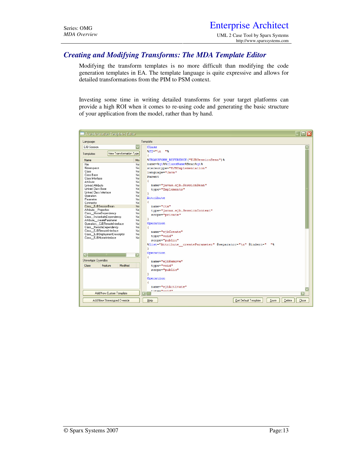UML 2 Case Tool by Sparx Systems http://www.sparxsystems.com

#### *Creating and Modifying Transforms: The MDA Template Editor*

Modifying the transform templates is no more difficult than modifying the code generation templates in EA. The template language is quite expressive and allows for detailed transformations from the PIM to PSM context.

Investing some time in writing detailed transforms for your target platforms can provide a high ROI when it comes to re-using code and generating the basic structure of your application from the model, rather than by hand.

| <b>Transformation Templates Editor</b>                 |                                                                                  | e Iolx |
|--------------------------------------------------------|----------------------------------------------------------------------------------|--------|
| Language:                                              | Template:                                                                        |        |
| EJB Session                                            | $\overline{\mathbf{v}}$<br>Class                                                 |        |
| New Transformation Type<br>Templates:                  | $PI = "\\ n$ "%                                                                  |        |
| <b>Name</b>                                            | £.<br><b><i>STRANSFORM REFERENCE ("EJBSessionBean") %</i></b><br>Mo <sub>1</sub> |        |
| File                                                   | name=%gt%%className%Bean%gt%<br>N <sub>o</sub>                                   |        |
| Namespace                                              | No<br>stereotype="EJBImplementation"                                             |        |
| Class                                                  | No                                                                               |        |
| Class Base                                             | language="Java"<br>No                                                            |        |
| Class Interface                                        | <b>Parent</b><br>No                                                              |        |
| Attribute                                              | €<br>No                                                                          |        |
| Linked Attribute                                       | name="javax.ejb.SessionBean"<br>No                                               |        |
| Linked Class Base                                      | No<br>type="Implements"                                                          |        |
| Linked Class Interface                                 | No<br>v                                                                          |        |
| Operation                                              | No<br>Attribute                                                                  |        |
| Parameter                                              | No                                                                               |        |
| Connector                                              | Ŧ.<br>No                                                                         |        |
| Class EJBSessionBean                                   | No.<br>name="ctx"                                                                |        |
| Attribute Properties                                   | No<br>type="javax.ejb.SessionContext"                                            |        |
| Class HomeDependency                                   | No<br>scope="private"                                                            |        |
| Class_InstantiateDependency                            | No<br>v                                                                          |        |
| Attribute createParameter                              | No<br>Operation<br>No                                                            |        |
| Operation_EJBRemoteInterface<br>Class RemoteDependency | No                                                                               |        |
| Class EJBRemoteInterface                               | No                                                                               |        |
| Class EJBD eploymentDescriptor                         | name="ejbCreate"<br>No                                                           |        |
| Class EJBHomeInterface                                 | type="void"<br>No                                                                |        |
|                                                        | scope="public"                                                                   |        |
|                                                        | %list="Attribute createParameter" @separator="\n" @indent=" "%<br>v              |        |
|                                                        | Operation                                                                        |        |
| $\overline{\mathbf{S}}$                                | $\overline{\phantom{a}}$                                                         |        |
| Stereotype Oyerrides:                                  | name="ejbRemove"                                                                 |        |
| Modified<br>Class<br>Feature                           | type="void"                                                                      |        |
|                                                        | scope="public"                                                                   |        |
|                                                        | ¥                                                                                |        |
|                                                        | Operation                                                                        |        |
|                                                        | ŧ                                                                                |        |
|                                                        | name="ejbActivate"                                                               |        |
|                                                        | <b>Hima=HuniAH</b>                                                               |        |
| Add New Custom Template                                |                                                                                  | ы      |
|                                                        |                                                                                  |        |
| Add New Stereotyped Override                           | Get Default Template<br>Save<br>Delete<br>Help                                   | Close  |
|                                                        |                                                                                  |        |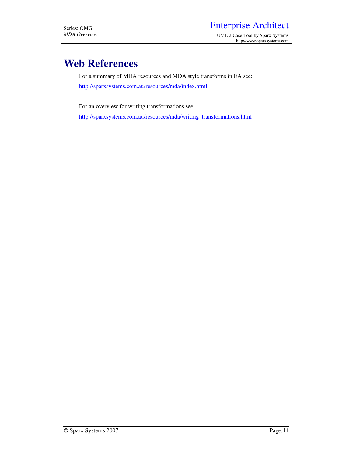## **Web References**

For a summary of MDA resources and MDA style transforms in EA see: http://sparxsystems.com.au/resources/mda/index.html

For an overview for writing transformations see:

http://sparxsystems.com.au/resources/mda/writing\_transformations.html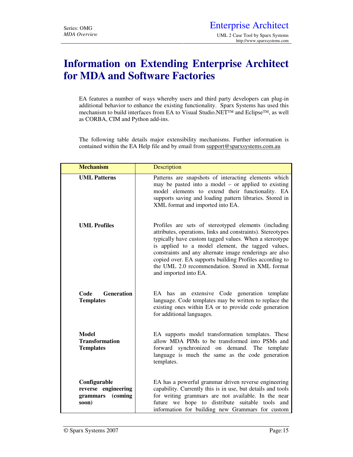## **Information on Extending Enterprise Architect for MDA and Software Factories**

EA features a number of ways whereby users and third party developers can plug-in additional behavior to enhance the existing functionality. Sparx Systems has used this mechanism to build interfaces from EA to Visual Studio.NET™ and Eclipse™, as well as CORBA, CIM and Python add-ins.

The following table details major extensibility mechanisms. Further information is contained within the EA Help file and by email from support@sparxsystems.com.au

| <b>Mechanism</b>                                                 | Description                                                                                                                                                                                                                                                                                                                                                                                                                           |
|------------------------------------------------------------------|---------------------------------------------------------------------------------------------------------------------------------------------------------------------------------------------------------------------------------------------------------------------------------------------------------------------------------------------------------------------------------------------------------------------------------------|
| <b>UML Patterns</b>                                              | Patterns are snapshots of interacting elements which<br>may be pasted into a model $-$ or applied to existing<br>model elements to extend their functionality. EA<br>supports saving and loading pattern libraries. Stored in<br>XML format and imported into EA.                                                                                                                                                                     |
| <b>UML</b> Profiles                                              | Profiles are sets of stereotyped elements (including<br>attributes, operations, links and constraints). Stereotypes<br>typically have custom tagged values. When a stereotype<br>is applied to a model element, the tagged values,<br>constraints and any alternate image renderings are also<br>copied over. EA supports building Profiles according to<br>the UML 2.0 recommendation. Stored in XML format<br>and imported into EA. |
| Code<br><b>Generation</b><br><b>Templates</b>                    | EA has an extensive Code generation template<br>language. Code templates may be written to replace the<br>existing ones within EA or to provide code generation<br>for additional languages.                                                                                                                                                                                                                                          |
| <b>Model</b><br><b>Transformation</b><br><b>Templates</b>        | EA supports model transformation templates. These<br>allow MDA PIMs to be transformed into PSMs and<br>forward synchronized on demand. The template<br>language is much the same as the code generation<br>templates.                                                                                                                                                                                                                 |
| Configurable<br>reverse engineering<br>grammars (coming<br>soon) | EA has a powerful grammar driven reverse engineering<br>capability. Currently this is in use, but details and tools<br>for writing grammars are not available. In the near<br>future we hope to distribute suitable tools and<br>information for building new Grammars for custom                                                                                                                                                     |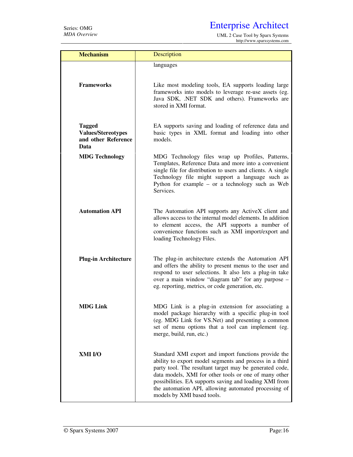*MDA Overview* UML 2 Case Tool by Sparx Systems http://www.sparxsystems.com

| <b>Mechanism</b>                                                          | Description                                                                                                                                                                                                                                                                                                                                                                         |
|---------------------------------------------------------------------------|-------------------------------------------------------------------------------------------------------------------------------------------------------------------------------------------------------------------------------------------------------------------------------------------------------------------------------------------------------------------------------------|
|                                                                           | languages                                                                                                                                                                                                                                                                                                                                                                           |
| <b>Frameworks</b>                                                         | Like most modeling tools, EA supports loading large<br>frameworks into models to leverage re-use assets (eg.<br>Java SDK, .NET SDK and others). Frameworks are<br>stored in XMI format.                                                                                                                                                                                             |
| <b>Tagged</b><br><b>Values/Stereotypes</b><br>and other Reference<br>Data | EA supports saving and loading of reference data and<br>basic types in XML format and loading into other<br>models.                                                                                                                                                                                                                                                                 |
| <b>MDG Technology</b>                                                     | MDG Technology files wrap up Profiles, Patterns,<br>Templates, Reference Data and more into a convenient<br>single file for distribution to users and clients. A single<br>Technology file might support a language such as<br>Python for example $-$ or a technology such as Web<br>Services.                                                                                      |
| <b>Automation API</b>                                                     | The Automation API supports any ActiveX client and<br>allows access to the internal model elements. In addition<br>to element access, the API supports a number of<br>convenience functions such as XMI import/export and<br>loading Technology Files.                                                                                                                              |
| <b>Plug-in Architecture</b>                                               | The plug-in architecture extends the Automation API<br>and offers the ability to present menus to the user and<br>respond to user selections. It also lets a plug-in take<br>over a main window "diagram tab" for any purpose -<br>eg. reporting, metrics, or code generation, etc.                                                                                                 |
| <b>MDG Link</b>                                                           | MDG Link is a plug-in extension for associating a<br>model package hierarchy with a specific plug-in tool<br>(eg. MDG Link for VS.Net) and presenting a common<br>set of menu options that a tool can implement (eg.<br>merge, build, run, etc.)                                                                                                                                    |
| XMI I/O                                                                   | Standard XMI export and import functions provide the<br>ability to export model segments and process in a third<br>party tool. The resultant target may be generated code,<br>data models, XMI for other tools or one of many other<br>possibilities. EA supports saving and loading XMI from<br>the automation API, allowing automated processing of<br>models by XMI based tools. |